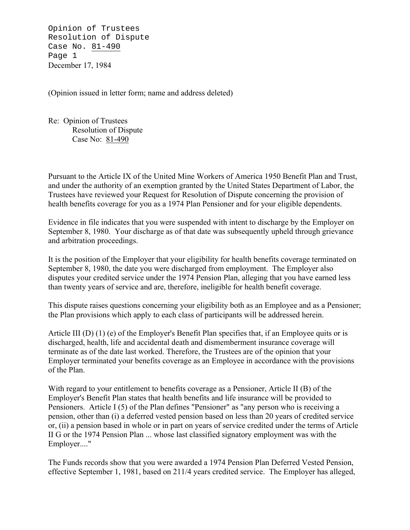Opinion of Trustees Resolution of Dispute Case No. 81-490 Page 1 December 17, 1984

(Opinion issued in letter form; name and address deleted)

Re: Opinion of Trustees Resolution of Dispute Case No: 81-490

Pursuant to the Article IX of the United Mine Workers of America 1950 Benefit Plan and Trust, and under the authority of an exemption granted by the United States Department of Labor, the Trustees have reviewed your Request for Resolution of Dispute concerning the provision of health benefits coverage for you as a 1974 Plan Pensioner and for your eligible dependents.

Evidence in file indicates that you were suspended with intent to discharge by the Employer on September 8, 1980. Your discharge as of that date was subsequently upheld through grievance and arbitration proceedings.

It is the position of the Employer that your eligibility for health benefits coverage terminated on September 8, 1980, the date you were discharged from employment. The Employer also disputes your credited service under the 1974 Pension Plan, alleging that you have earned less than twenty years of service and are, therefore, ineligible for health benefit coverage.

This dispute raises questions concerning your eligibility both as an Employee and as a Pensioner; the Plan provisions which apply to each class of participants will be addressed herein.

Article III (D) (1) (e) of the Employer's Benefit Plan specifies that, if an Employee quits or is discharged, health, life and accidental death and dismemberment insurance coverage will terminate as of the date last worked. Therefore, the Trustees are of the opinion that your Employer terminated your benefits coverage as an Employee in accordance with the provisions of the Plan.

With regard to your entitlement to benefits coverage as a Pensioner, Article II (B) of the Employer's Benefit Plan states that health benefits and life insurance will be provided to Pensioners. Article I (5) of the Plan defines "Pensioner" as "any person who is receiving a pension, other than (i) a deferred vested pension based on less than 20 years of credited service or, (ii) a pension based in whole or in part on years of service credited under the terms of Article II G or the 1974 Pension Plan ... whose last classified signatory employment was with the Employer...."

The Funds records show that you were awarded a 1974 Pension Plan Deferred Vested Pension, effective September 1, 1981, based on 211/4 years credited service. The Employer has alleged,